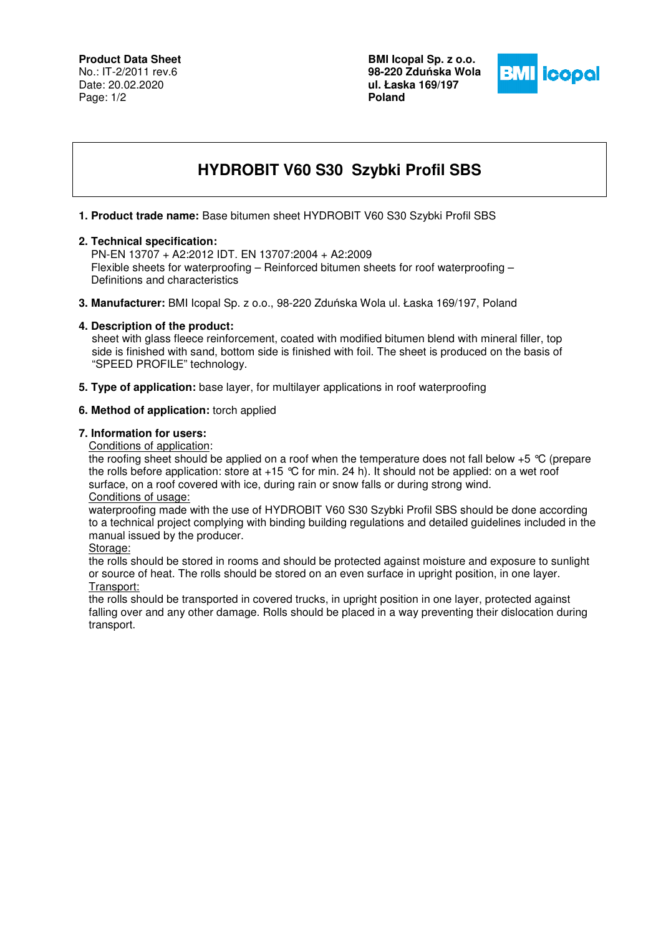**BMI Icopal Sp. z o.o. 98-220 Zdu**ń**ska Wola ul. Łaska 169/197 Poland** 



# **HYDROBIT V60 S30 Szybki Profil SBS**

**1. Product trade name:** Base bitumen sheet HYDROBIT V60 S30 Szybki Profil SBS

#### **2. Technical specification:**

 PN-EN 13707 + A2:2012 IDT. EN 13707:2004 + A2:2009 Flexible sheets for waterproofing – Reinforced bitumen sheets for roof waterproofing – Definitions and characteristics

**3. Manufacturer:** BMI Icopal Sp. z o.o., 98-220 Zduńska Wola ul. Łaska 169/197, Poland

### **4. Description of the product:**

 sheet with glass fleece reinforcement, coated with modified bitumen blend with mineral filler, top side is finished with sand, bottom side is finished with foil. The sheet is produced on the basis of "SPEED PROFILE" technology.

**5. Type of application:** base layer, for multilayer applications in roof waterproofing

#### **6. Method of application:** torch applied

#### **7. Information for users:**

Conditions of application:

the roofing sheet should be applied on a roof when the temperature does not fall below +5 °C (prepare the rolls before application: store at  $+15$  °C for min. 24 h). It should not be applied: on a wet roof surface, on a roof covered with ice, during rain or snow falls or during strong wind. Conditions of usage:

waterproofing made with the use of HYDROBIT V60 S30 Szybki Profil SBS should be done according to a technical project complying with binding building regulations and detailed guidelines included in the manual issued by the producer.

Storage:

the rolls should be stored in rooms and should be protected against moisture and exposure to sunlight or source of heat. The rolls should be stored on an even surface in upright position, in one layer. Transport:

the rolls should be transported in covered trucks, in upright position in one layer, protected against falling over and any other damage. Rolls should be placed in a way preventing their dislocation during transport.